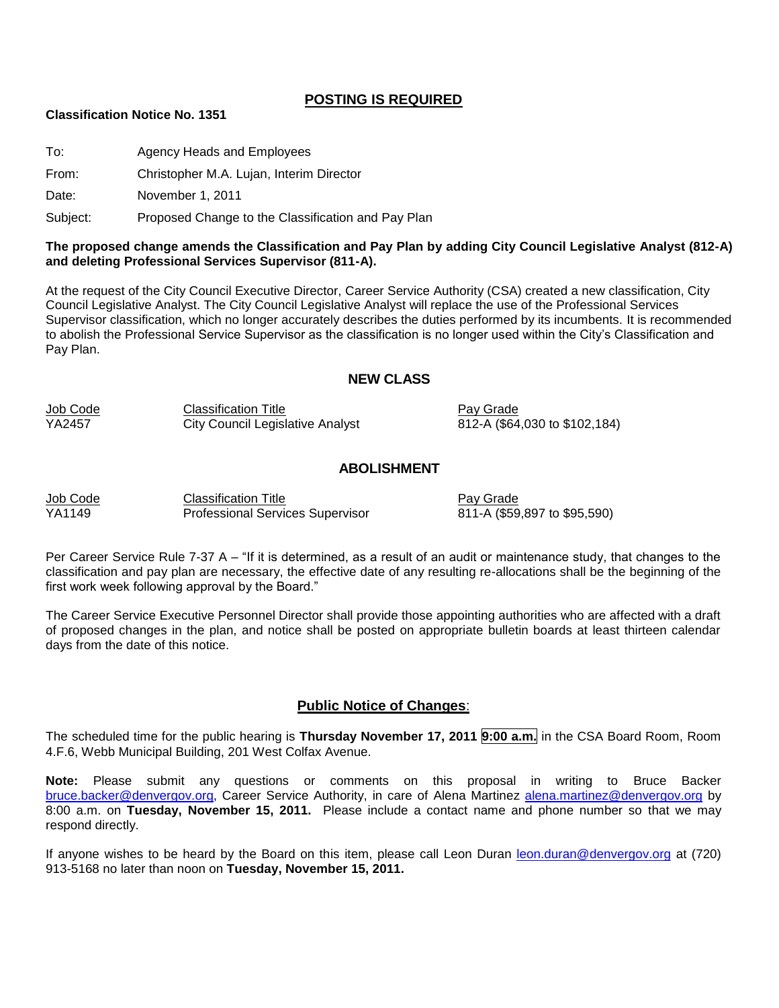#### **POSTING IS REQUIRED**

#### **Classification Notice No. 1351**

To: Agency Heads and Employees

From: Christopher M.A. Lujan, Interim Director

Date: November 1, 2011

Subject: Proposed Change to the Classification and Pay Plan

#### **The proposed change amends the Classification and Pay Plan by adding City Council Legislative Analyst (812-A) and deleting Professional Services Supervisor (811-A).**

At the request of the City Council Executive Director, Career Service Authority (CSA) created a new classification, City Council Legislative Analyst. The City Council Legislative Analyst will replace the use of the Professional Services Supervisor classification, which no longer accurately describes the duties performed by its incumbents. It is recommended to abolish the Professional Service Supervisor as the classification is no longer used within the City's Classification and Pay Plan.

#### **NEW CLASS**

| Job Code | <b>Classification Title</b>             | Pay Grade                     |
|----------|-----------------------------------------|-------------------------------|
| YA2457   | <b>City Council Legislative Analyst</b> | 812-A (\$64,030 to \$102,184) |

#### **ABOLISHMENT**

| Job Code | <b>Classification Title</b>             |
|----------|-----------------------------------------|
| YA1149   | <b>Professional Services Supervisor</b> |

Pay Grade 811-A (\$59,897 to \$95,590)

Per Career Service Rule 7-37 A – "If it is determined, as a result of an audit or maintenance study, that changes to the classification and pay plan are necessary, the effective date of any resulting re-allocations shall be the beginning of the first work week following approval by the Board."

The Career Service Executive Personnel Director shall provide those appointing authorities who are affected with a draft of proposed changes in the plan, and notice shall be posted on appropriate bulletin boards at least thirteen calendar days from the date of this notice.

#### **Public Notice of Changes**:

The scheduled time for the public hearing is **Thursday November 17, 2011 9:00 a.m.** in the CSA Board Room, Room 4.F.6, Webb Municipal Building, 201 West Colfax Avenue.

**Note:** Please submit any questions or comments on this proposal in writing to Bruce Backer [bruce.backer@denvergov.org,](mailto:bruce.backer@denvergov.org) Career Service Authority, in care of Alena Martinez [alena.martinez@denvergov.org](mailto:alena.martinez@denvergov.org) by 8:00 a.m. on **Tuesday, November 15, 2011.** Please include a contact name and phone number so that we may respond directly.

If anyone wishes to be heard by the Board on this item, please call Leon Duran [leon.duran@denvergov.org](mailto:leon.duran@denvergov.org) at (720) 913-5168 no later than noon on **Tuesday, November 15, 2011.**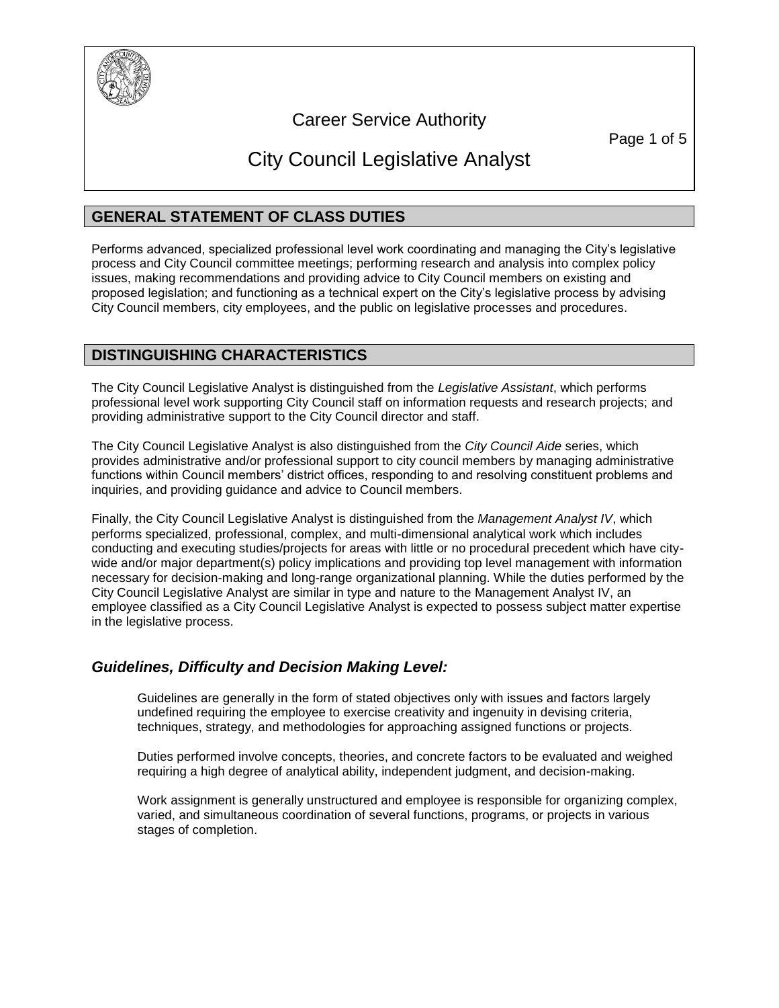

## Career Service Authority

Page 1 of 5

# City Council Legislative Analyst

## **GENERAL STATEMENT OF CLASS DUTIES**

Performs advanced, specialized professional level work coordinating and managing the City's legislative process and City Council committee meetings; performing research and analysis into complex policy issues, making recommendations and providing advice to City Council members on existing and proposed legislation; and functioning as a technical expert on the City's legislative process by advising City Council members, city employees, and the public on legislative processes and procedures.

## **DISTINGUISHING CHARACTERISTICS**

The City Council Legislative Analyst is distinguished from the *Legislative Assistant*, which performs professional level work supporting City Council staff on information requests and research projects; and providing administrative support to the City Council director and staff.

The City Council Legislative Analyst is also distinguished from the *City Council Aide* series, which provides administrative and/or professional support to city council members by managing administrative functions within Council members' district offices, responding to and resolving constituent problems and inquiries, and providing guidance and advice to Council members.

Finally, the City Council Legislative Analyst is distinguished from the *Management Analyst IV*, which performs specialized, professional, complex, and multi-dimensional analytical work which includes conducting and executing studies/projects for areas with little or no procedural precedent which have citywide and/or major department(s) policy implications and providing top level management with information necessary for decision-making and long-range organizational planning. While the duties performed by the City Council Legislative Analyst are similar in type and nature to the Management Analyst IV, an employee classified as a City Council Legislative Analyst is expected to possess subject matter expertise in the legislative process.

## *Guidelines, Difficulty and Decision Making Level:*

Guidelines are generally in the form of stated objectives only with issues and factors largely undefined requiring the employee to exercise creativity and ingenuity in devising criteria, techniques, strategy, and methodologies for approaching assigned functions or projects.

Duties performed involve concepts, theories, and concrete factors to be evaluated and weighed requiring a high degree of analytical ability, independent judgment, and decision-making.

Work assignment is generally unstructured and employee is responsible for organizing complex, varied, and simultaneous coordination of several functions, programs, or projects in various stages of completion.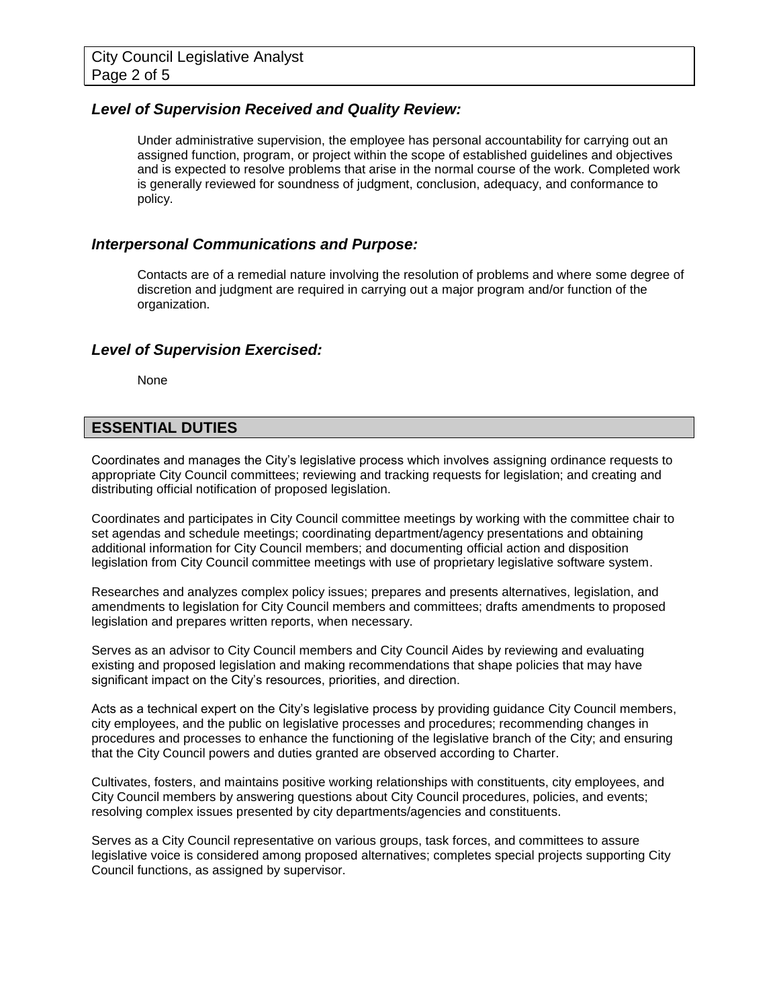#### *Level of Supervision Received and Quality Review:*

Under administrative supervision, the employee has personal accountability for carrying out an assigned function, program, or project within the scope of established guidelines and objectives and is expected to resolve problems that arise in the normal course of the work. Completed work is generally reviewed for soundness of judgment, conclusion, adequacy, and conformance to policy.

#### *Interpersonal Communications and Purpose:*

Contacts are of a remedial nature involving the resolution of problems and where some degree of discretion and judgment are required in carrying out a major program and/or function of the organization.

#### *Level of Supervision Exercised:*

None

#### **ESSENTIAL DUTIES**

Coordinates and manages the City's legislative process which involves assigning ordinance requests to appropriate City Council committees; reviewing and tracking requests for legislation; and creating and distributing official notification of proposed legislation.

Coordinates and participates in City Council committee meetings by working with the committee chair to set agendas and schedule meetings; coordinating department/agency presentations and obtaining additional information for City Council members; and documenting official action and disposition legislation from City Council committee meetings with use of proprietary legislative software system.

Researches and analyzes complex policy issues; prepares and presents alternatives, legislation, and amendments to legislation for City Council members and committees; drafts amendments to proposed legislation and prepares written reports, when necessary.

Serves as an advisor to City Council members and City Council Aides by reviewing and evaluating existing and proposed legislation and making recommendations that shape policies that may have significant impact on the City's resources, priorities, and direction.

Acts as a technical expert on the City's legislative process by providing guidance City Council members, city employees, and the public on legislative processes and procedures; recommending changes in procedures and processes to enhance the functioning of the legislative branch of the City; and ensuring that the City Council powers and duties granted are observed according to Charter.

Cultivates, fosters, and maintains positive working relationships with constituents, city employees, and City Council members by answering questions about City Council procedures, policies, and events; resolving complex issues presented by city departments/agencies and constituents.

Serves as a City Council representative on various groups, task forces, and committees to assure legislative voice is considered among proposed alternatives; completes special projects supporting City Council functions, as assigned by supervisor.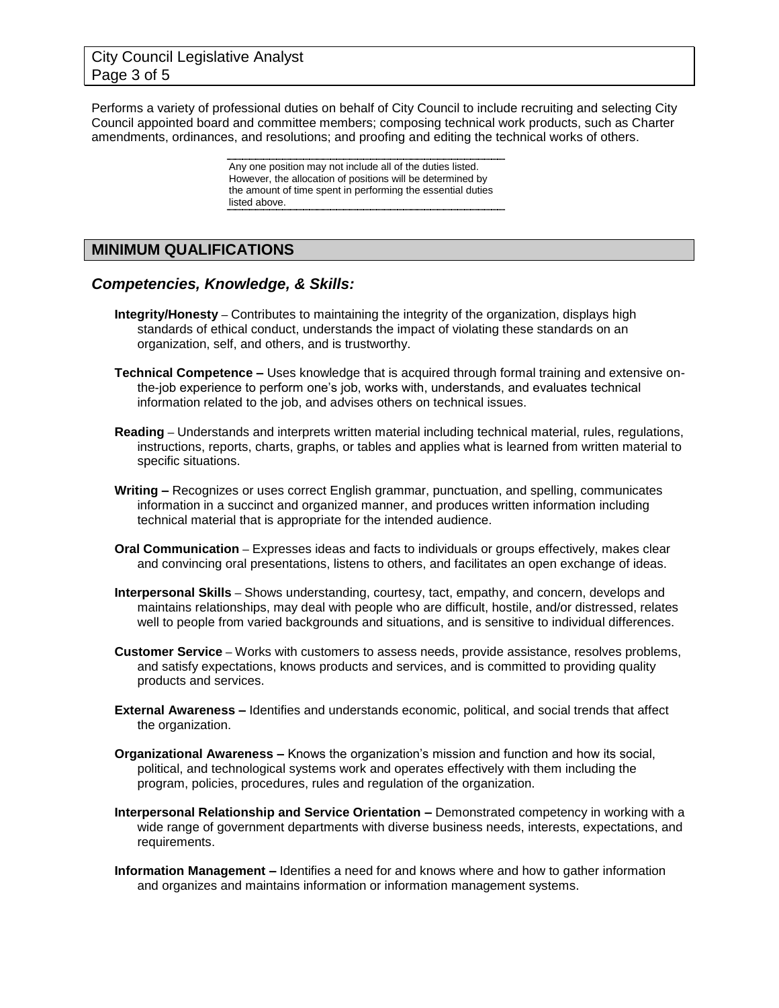## City Council Legislative Analyst Page 3 of 5

Performs a variety of professional duties on behalf of City Council to include recruiting and selecting City Council appointed board and committee members; composing technical work products, such as Charter amendments, ordinances, and resolutions; and proofing and editing the technical works of others.

> Any one position may not include all of the duties listed. However, the allocation of positions will be determined by the amount of time spent in performing the essential duties listed above.

## **MINIMUM QUALIFICATIONS**

#### *Competencies, Knowledge, & Skills:*

- **Integrity/Honesty –** Contributes to maintaining the integrity of the organization, displays high standards of ethical conduct, understands the impact of violating these standards on an organization, self, and others, and is trustworthy.
- **Technical Competence –** Uses knowledge that is acquired through formal training and extensive onthe-job experience to perform one's job, works with, understands, and evaluates technical information related to the job, and advises others on technical issues.
- **Reading –** Understands and interprets written material including technical material, rules, regulations, instructions, reports, charts, graphs, or tables and applies what is learned from written material to specific situations.
- **Writing –** Recognizes or uses correct English grammar, punctuation, and spelling, communicates information in a succinct and organized manner, and produces written information including technical material that is appropriate for the intended audience.
- **Oral Communication –** Expresses ideas and facts to individuals or groups effectively, makes clear and convincing oral presentations, listens to others, and facilitates an open exchange of ideas.
- **Interpersonal Skills –** Shows understanding, courtesy, tact, empathy, and concern, develops and maintains relationships, may deal with people who are difficult, hostile, and/or distressed, relates well to people from varied backgrounds and situations, and is sensitive to individual differences.
- **Customer Service –** Works with customers to assess needs, provide assistance, resolves problems, and satisfy expectations, knows products and services, and is committed to providing quality products and services.
- **External Awareness –** Identifies and understands economic, political, and social trends that affect the organization.
- **Organizational Awareness –** Knows the organization's mission and function and how its social, political, and technological systems work and operates effectively with them including the program, policies, procedures, rules and regulation of the organization.
- **Interpersonal Relationship and Service Orientation –** Demonstrated competency in working with a wide range of government departments with diverse business needs, interests, expectations, and requirements.
- **Information Management –** Identifies a need for and knows where and how to gather information and organizes and maintains information or information management systems.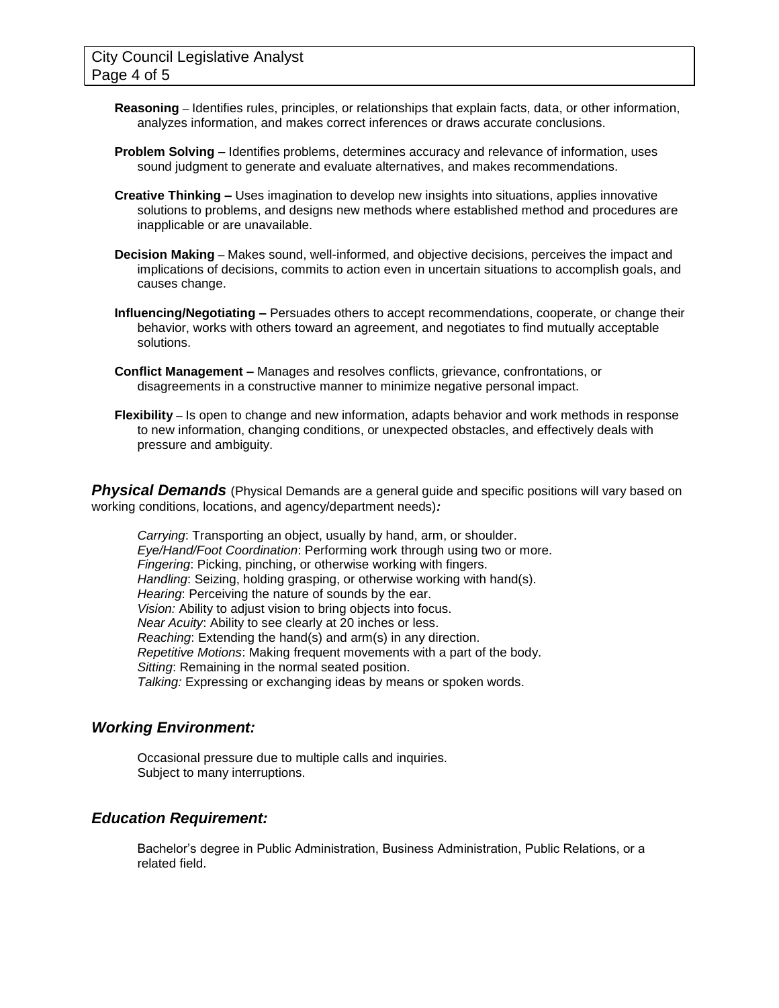- **Reasoning –** Identifies rules, principles, or relationships that explain facts, data, or other information, analyzes information, and makes correct inferences or draws accurate conclusions.
- **Problem Solving –** Identifies problems, determines accuracy and relevance of information, uses sound judgment to generate and evaluate alternatives, and makes recommendations.
- **Creative Thinking –** Uses imagination to develop new insights into situations, applies innovative solutions to problems, and designs new methods where established method and procedures are inapplicable or are unavailable.
- **Decision Making –** Makes sound, well-informed, and objective decisions, perceives the impact and implications of decisions, commits to action even in uncertain situations to accomplish goals, and causes change.
- **Influencing/Negotiating –** Persuades others to accept recommendations, cooperate, or change their behavior, works with others toward an agreement, and negotiates to find mutually acceptable solutions.
- **Conflict Management –** Manages and resolves conflicts, grievance, confrontations, or disagreements in a constructive manner to minimize negative personal impact.
- **Flexibility –** Is open to change and new information, adapts behavior and work methods in response to new information, changing conditions, or unexpected obstacles, and effectively deals with pressure and ambiguity.

**Physical Demands** (Physical Demands are a general guide and specific positions will vary based on working conditions, locations, and agency/department needs)*:*

*Carrying*: Transporting an object, usually by hand, arm, or shoulder. *Eye/Hand/Foot Coordination*: Performing work through using two or more. *Fingering*: Picking, pinching, or otherwise working with fingers. *Handling*: Seizing, holding grasping, or otherwise working with hand(s). *Hearing*: Perceiving the nature of sounds by the ear. *Vision:* Ability to adjust vision to bring objects into focus. *Near Acuity*: Ability to see clearly at 20 inches or less. *Reaching*: Extending the hand(s) and arm(s) in any direction. *Repetitive Motions*: Making frequent movements with a part of the body. *Sitting*: Remaining in the normal seated position. *Talking:* Expressing or exchanging ideas by means or spoken words.

#### *Working Environment:*

Occasional pressure due to multiple calls and inquiries. Subject to many interruptions.

#### *Education Requirement:*

Bachelor's degree in Public Administration, Business Administration, Public Relations, or a related field.